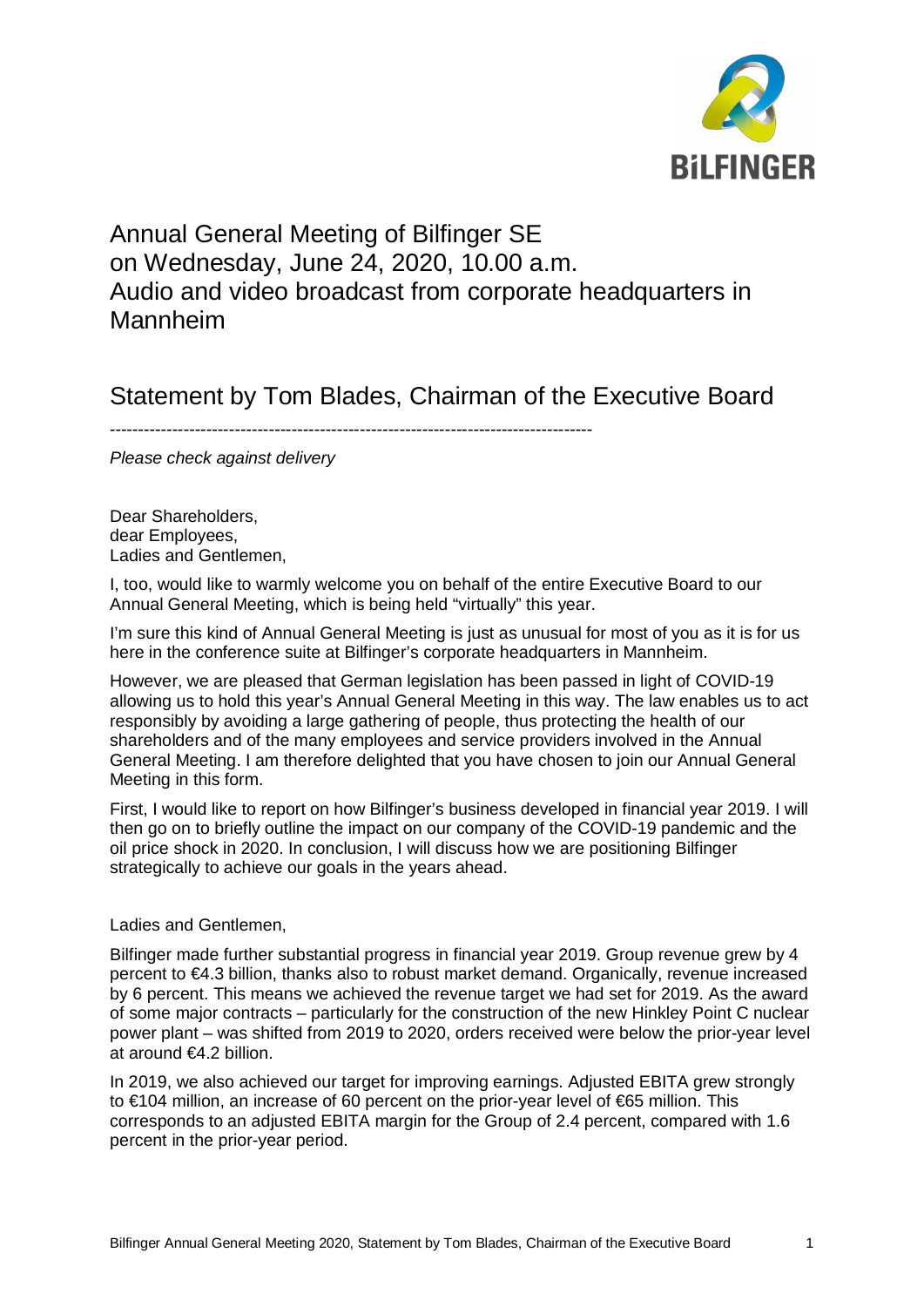

# Annual General Meeting of Bilfinger SE on Wednesday, June 24, 2020, 10.00 a.m. Audio and video broadcast from corporate headquarters in Mannheim

## Statement by Tom Blades, Chairman of the Executive Board

-------------------------------------------------------------------------------------

*Please check against delivery*

Dear Shareholders, dear Employees, Ladies and Gentlemen,

I, too, would like to warmly welcome you on behalf of the entire Executive Board to our Annual General Meeting, which is being held "virtually" this year.

I'm sure this kind of Annual General Meeting is just as unusual for most of you as it is for us here in the conference suite at Bilfinger's corporate headquarters in Mannheim.

However, we are pleased that German legislation has been passed in light of COVID-19 allowing us to hold this year's Annual General Meeting in this way. The law enables us to act responsibly by avoiding a large gathering of people, thus protecting the health of our shareholders and of the many employees and service providers involved in the Annual General Meeting. I am therefore delighted that you have chosen to join our Annual General Meeting in this form.

First, I would like to report on how Bilfinger's business developed in financial year 2019. I will then go on to briefly outline the impact on our company of the COVID-19 pandemic and the oil price shock in 2020. In conclusion, I will discuss how we are positioning Bilfinger strategically to achieve our goals in the years ahead.

## Ladies and Gentlemen,

Bilfinger made further substantial progress in financial year 2019. Group revenue grew by 4 percent to €4.3 billion, thanks also to robust market demand. Organically, revenue increased by 6 percent. This means we achieved the revenue target we had set for 2019. As the award of some major contracts – particularly for the construction of the new Hinkley Point C nuclear power plant – was shifted from 2019 to 2020, orders received were below the prior-year level at around €4.2 billion.

In 2019, we also achieved our target for improving earnings. Adjusted EBITA grew strongly to €104 million, an increase of 60 percent on the prior-year level of €65 million. This corresponds to an adjusted EBITA margin for the Group of 2.4 percent, compared with 1.6 percent in the prior-year period.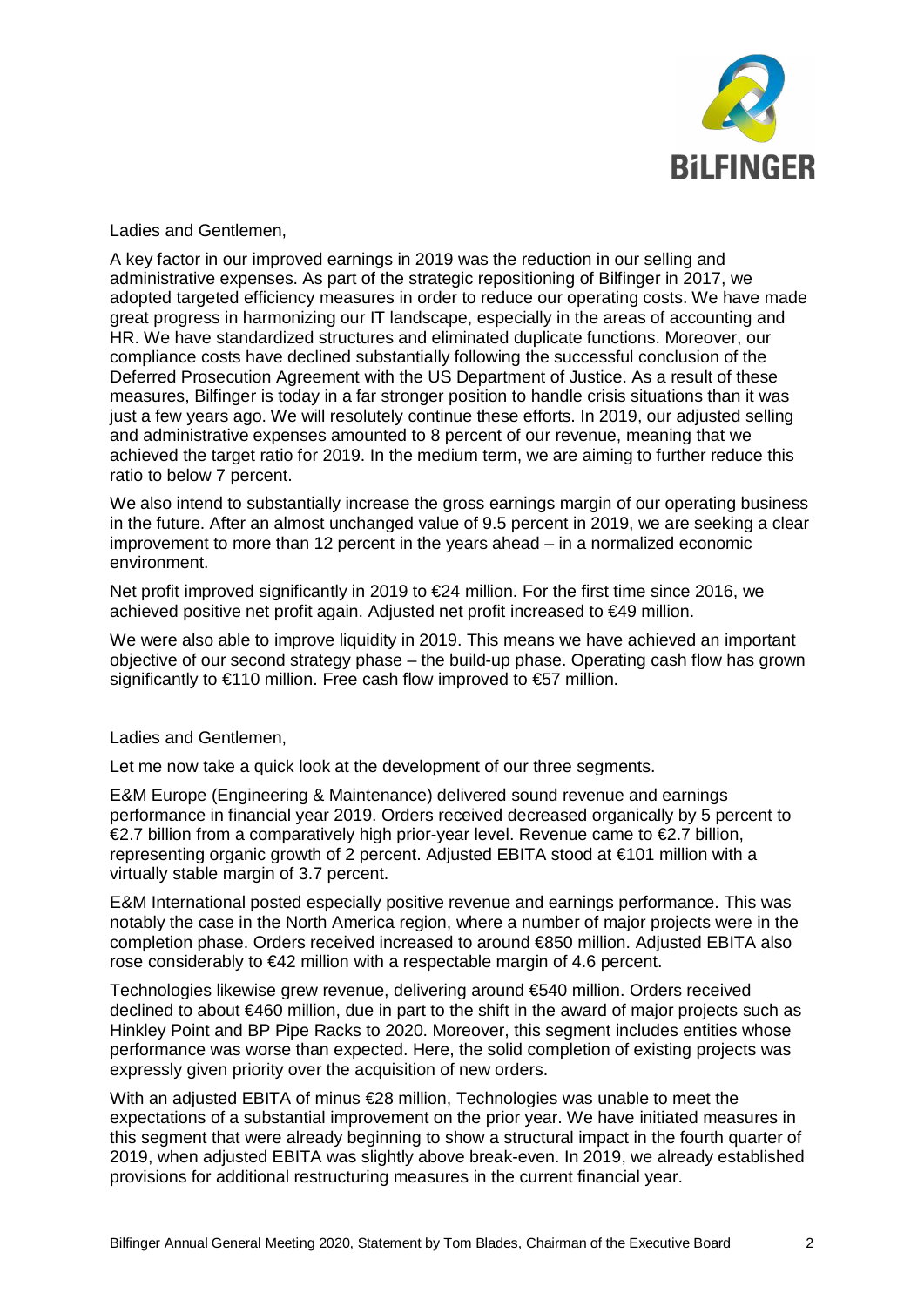

Ladies and Gentlemen,

A key factor in our improved earnings in 2019 was the reduction in our selling and administrative expenses. As part of the strategic repositioning of Bilfinger in 2017, we adopted targeted efficiency measures in order to reduce our operating costs. We have made great progress in harmonizing our IT landscape, especially in the areas of accounting and HR. We have standardized structures and eliminated duplicate functions. Moreover, our compliance costs have declined substantially following the successful conclusion of the Deferred Prosecution Agreement with the US Department of Justice. As a result of these measures, Bilfinger is today in a far stronger position to handle crisis situations than it was just a few years ago. We will resolutely continue these efforts. In 2019, our adjusted selling and administrative expenses amounted to 8 percent of our revenue, meaning that we achieved the target ratio for 2019. In the medium term, we are aiming to further reduce this ratio to below 7 percent.

We also intend to substantially increase the gross earnings margin of our operating business in the future. After an almost unchanged value of 9.5 percent in 2019, we are seeking a clear improvement to more than 12 percent in the years ahead – in a normalized economic environment.

Net profit improved significantly in 2019 to €24 million. For the first time since 2016, we achieved positive net profit again. Adjusted net profit increased to €49 million.

We were also able to improve liquidity in 2019. This means we have achieved an important objective of our second strategy phase – the build-up phase. Operating cash flow has grown significantly to  $\epsilon$ 110 million. Free cash flow improved to  $\epsilon$ 57 million.

Ladies and Gentlemen,

Let me now take a quick look at the development of our three segments.

E&M Europe (Engineering & Maintenance) delivered sound revenue and earnings performance in financial year 2019. Orders received decreased organically by 5 percent to  $\epsilon$ 2.7 billion from a comparatively high prior-year level. Revenue came to  $\epsilon$ 2.7 billion, representing organic growth of 2 percent. Adjusted EBITA stood at €101 million with a virtually stable margin of 3.7 percent.

E&M International posted especially positive revenue and earnings performance. This was notably the case in the North America region, where a number of major projects were in the completion phase. Orders received increased to around €850 million. Adjusted EBITA also rose considerably to €42 million with a respectable margin of 4.6 percent.

Technologies likewise grew revenue, delivering around €540 million. Orders received declined to about €460 million, due in part to the shift in the award of major projects such as Hinkley Point and BP Pipe Racks to 2020. Moreover, this segment includes entities whose performance was worse than expected. Here, the solid completion of existing projects was expressly given priority over the acquisition of new orders.

With an adjusted EBITA of minus €28 million. Technologies was unable to meet the expectations of a substantial improvement on the prior year. We have initiated measures in this segment that were already beginning to show a structural impact in the fourth quarter of 2019, when adjusted EBITA was slightly above break-even. In 2019, we already established provisions for additional restructuring measures in the current financial year.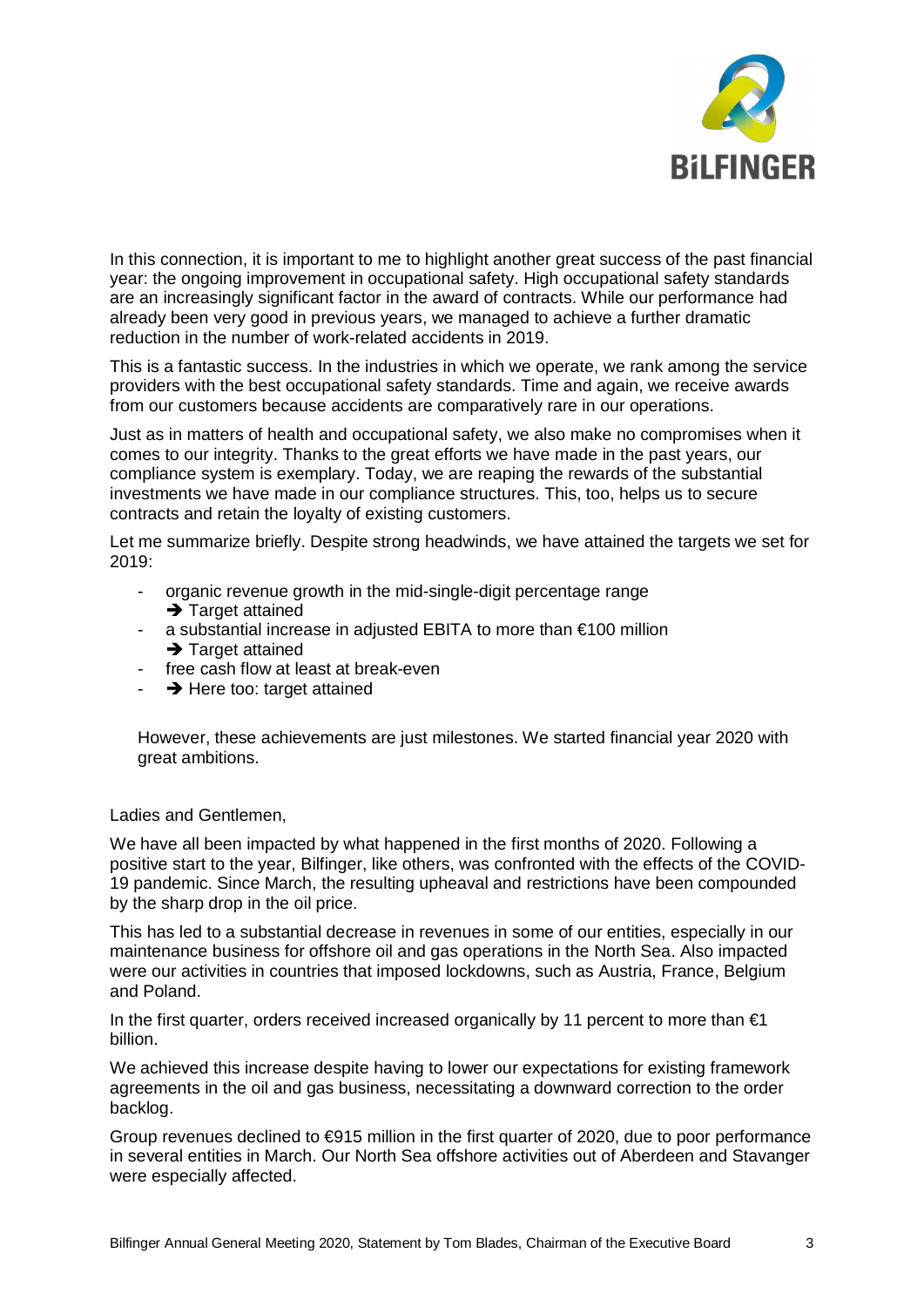

In this connection, it is important to me to highlight another great success of the past financial year: the ongoing improvement in occupational safety. High occupational safety standards are an increasingly significant factor in the award of contracts. While our performance had already been very good in previous years, we managed to achieve a further dramatic reduction in the number of work-related accidents in 2019.

This is a fantastic success. In the industries in which we operate, we rank among the service providers with the best occupational safety standards. Time and again, we receive awards from our customers because accidents are comparatively rare in our operations.

Just as in matters of health and occupational safety, we also make no compromises when it comes to our integrity. Thanks to the great efforts we have made in the past years, our compliance system is exemplary. Today, we are reaping the rewards of the substantial investments we have made in our compliance structures. This, too, helps us to secure contracts and retain the loyalty of existing customers.

Let me summarize briefly. Despite strong headwinds, we have attained the targets we set for 2019:

- organic revenue growth in the mid-single-digit percentage range  $\rightarrow$  Target attained
- a substantial increase in adjusted EBITA to more than €100 million  $\rightarrow$  Target attained
- free cash flow at least at break-even
- $\rightarrow$  Here too: target attained

However, these achievements are just milestones. We started financial year 2020 with great ambitions.

Ladies and Gentlemen,

We have all been impacted by what happened in the first months of 2020. Following a positive start to the year, Bilfinger, like others, was confronted with the effects of the COVID-19 pandemic. Since March, the resulting upheaval and restrictions have been compounded by the sharp drop in the oil price.

This has led to a substantial decrease in revenues in some of our entities, especially in our maintenance business for offshore oil and gas operations in the North Sea. Also impacted were our activities in countries that imposed lockdowns, such as Austria, France, Belgium and Poland.

In the first quarter, orders received increased organically by 11 percent to more than  $\epsilon$ 1 billion.

We achieved this increase despite having to lower our expectations for existing framework agreements in the oil and gas business, necessitating a downward correction to the order backlog.

Group revenues declined to €915 million in the first quarter of 2020, due to poor performance in several entities in March. Our North Sea offshore activities out of Aberdeen and Stavanger were especially affected.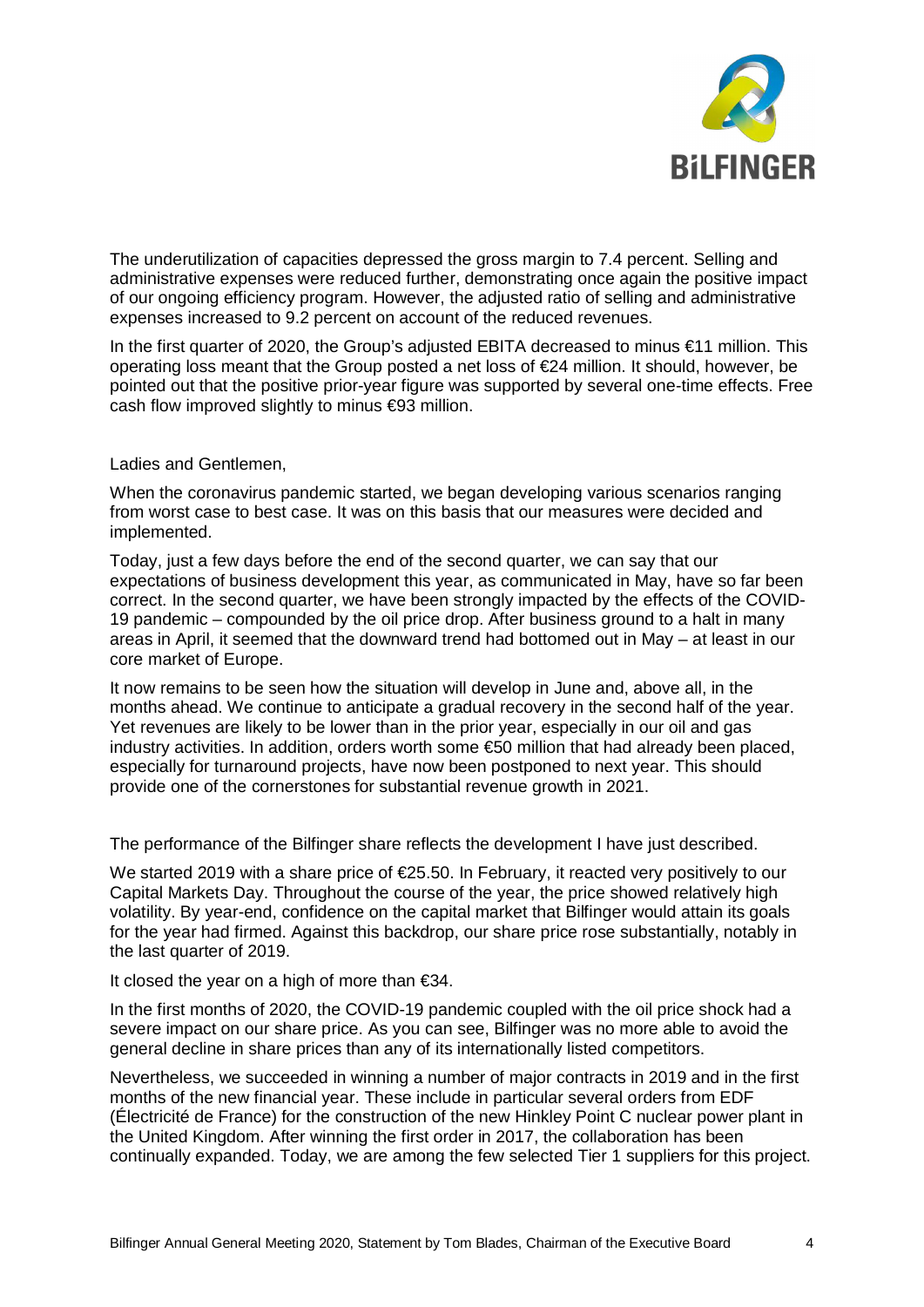

The underutilization of capacities depressed the gross margin to 7.4 percent. Selling and administrative expenses were reduced further, demonstrating once again the positive impact of our ongoing efficiency program. However, the adjusted ratio of selling and administrative expenses increased to 9.2 percent on account of the reduced revenues.

In the first quarter of 2020, the Group's adjusted EBITA decreased to minus €11 million. This operating loss meant that the Group posted a net loss of €24 million. It should, however, be pointed out that the positive prior-year figure was supported by several one-time effects. Free cash flow improved slightly to minus €93 million.

## Ladies and Gentlemen,

When the coronavirus pandemic started, we began developing various scenarios ranging from worst case to best case. It was on this basis that our measures were decided and implemented.

Today, just a few days before the end of the second quarter, we can say that our expectations of business development this year, as communicated in May, have so far been correct. In the second quarter, we have been strongly impacted by the effects of the COVID-19 pandemic – compounded by the oil price drop. After business ground to a halt in many areas in April, it seemed that the downward trend had bottomed out in May – at least in our core market of Europe.

It now remains to be seen how the situation will develop in June and, above all, in the months ahead. We continue to anticipate a gradual recovery in the second half of the year. Yet revenues are likely to be lower than in the prior year, especially in our oil and gas industry activities. In addition, orders worth some €50 million that had already been placed, especially for turnaround projects, have now been postponed to next year. This should provide one of the cornerstones for substantial revenue growth in 2021.

The performance of the Bilfinger share reflects the development I have just described.

We started 2019 with a share price of €25.50. In February, it reacted very positively to our Capital Markets Day. Throughout the course of the year, the price showed relatively high volatility. By year-end, confidence on the capital market that Bilfinger would attain its goals for the year had firmed. Against this backdrop, our share price rose substantially, notably in the last quarter of 2019.

It closed the year on a high of more than €34.

In the first months of 2020, the COVID-19 pandemic coupled with the oil price shock had a severe impact on our share price. As you can see, Bilfinger was no more able to avoid the general decline in share prices than any of its internationally listed competitors.

Nevertheless, we succeeded in winning a number of major contracts in 2019 and in the first months of the new financial year. These include in particular several orders from EDF (Électricité de France) for the construction of the new Hinkley Point C nuclear power plant in the United Kingdom. After winning the first order in 2017, the collaboration has been continually expanded. Today, we are among the few selected Tier 1 suppliers for this project.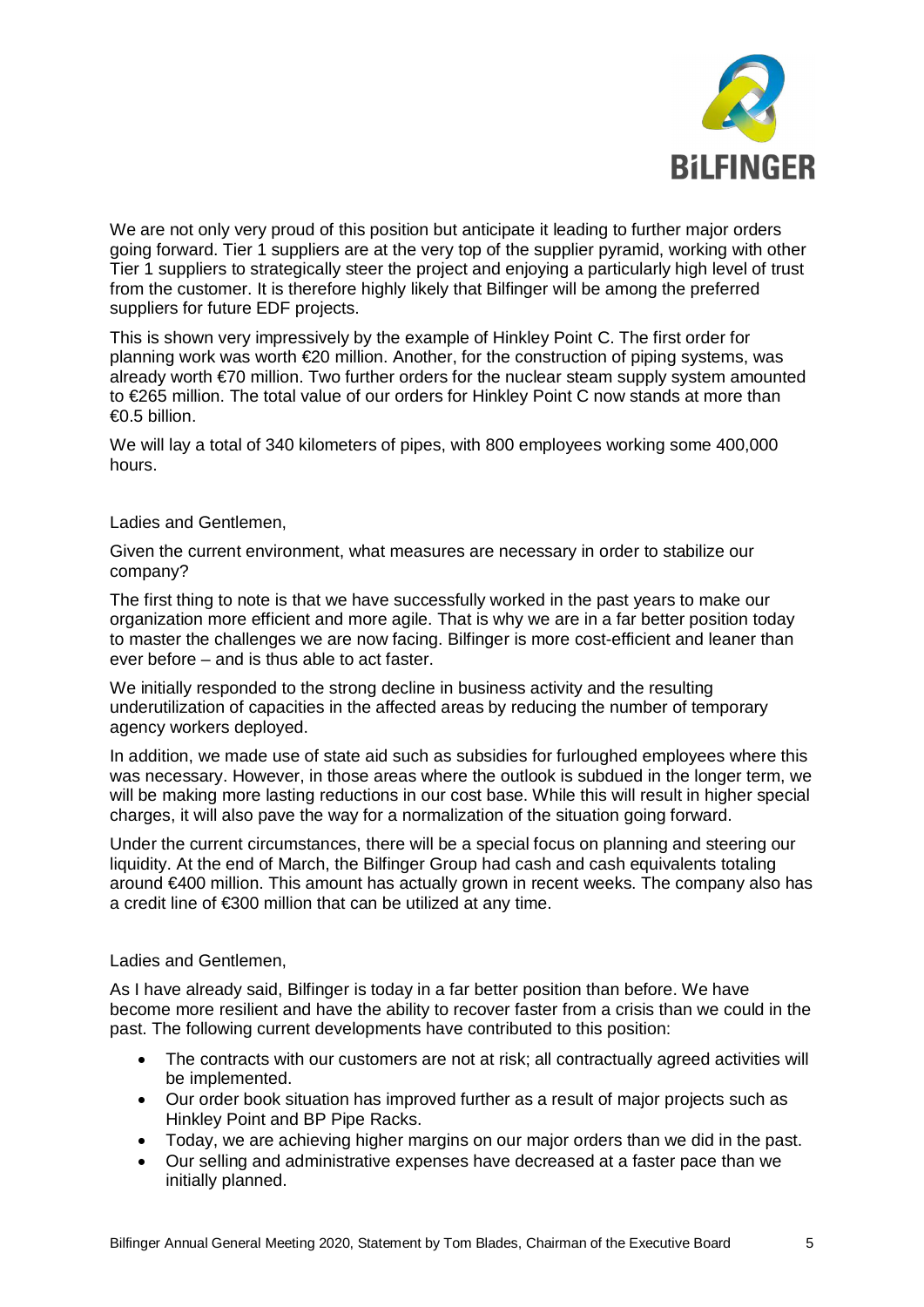

We are not only very proud of this position but anticipate it leading to further major orders going forward. Tier 1 suppliers are at the very top of the supplier pyramid, working with other Tier 1 suppliers to strategically steer the project and enjoying a particularly high level of trust from the customer. It is therefore highly likely that Bilfinger will be among the preferred suppliers for future EDF projects.

This is shown very impressively by the example of Hinkley Point C. The first order for planning work was worth €20 million. Another, for the construction of piping systems, was already worth €70 million. Two further orders for the nuclear steam supply system amounted to €265 million. The total value of our orders for Hinkley Point C now stands at more than €0.5 billion.

We will lay a total of 340 kilometers of pipes, with 800 employees working some 400,000 hours.

## Ladies and Gentlemen,

Given the current environment, what measures are necessary in order to stabilize our company?

The first thing to note is that we have successfully worked in the past years to make our organization more efficient and more agile. That is why we are in a far better position today to master the challenges we are now facing. Bilfinger is more cost-efficient and leaner than ever before – and is thus able to act faster.

We initially responded to the strong decline in business activity and the resulting underutilization of capacities in the affected areas by reducing the number of temporary agency workers deployed.

In addition, we made use of state aid such as subsidies for furloughed employees where this was necessary. However, in those areas where the outlook is subdued in the longer term, we will be making more lasting reductions in our cost base. While this will result in higher special charges, it will also pave the way for a normalization of the situation going forward.

Under the current circumstances, there will be a special focus on planning and steering our liquidity. At the end of March, the Bilfinger Group had cash and cash equivalents totaling around €400 million. This amount has actually grown in recent weeks. The company also has a credit line of €300 million that can be utilized at any time.

## Ladies and Gentlemen,

As I have already said, Bilfinger is today in a far better position than before. We have become more resilient and have the ability to recover faster from a crisis than we could in the past. The following current developments have contributed to this position:

- · The contracts with our customers are not at risk; all contractually agreed activities will be implemented.
- · Our order book situation has improved further as a result of major projects such as Hinkley Point and BP Pipe Racks.
- · Today, we are achieving higher margins on our major orders than we did in the past.
- · Our selling and administrative expenses have decreased at a faster pace than we initially planned.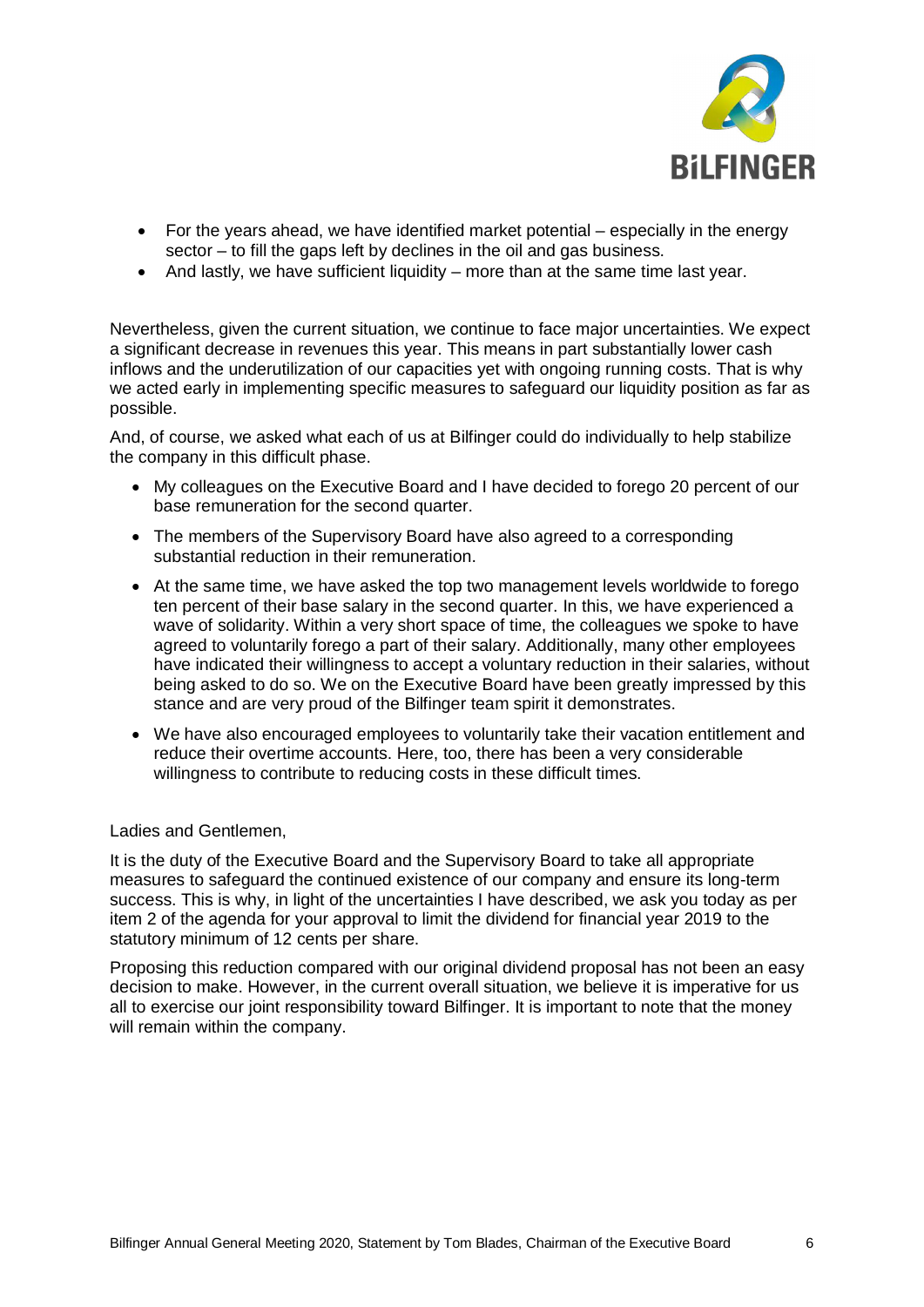

- For the years ahead, we have identified market potential especially in the energy sector – to fill the gaps left by declines in the oil and gas business.
- · And lastly, we have sufficient liquidity more than at the same time last year.

Nevertheless, given the current situation, we continue to face major uncertainties. We expect a significant decrease in revenues this year. This means in part substantially lower cash inflows and the underutilization of our capacities yet with ongoing running costs. That is why we acted early in implementing specific measures to safeguard our liquidity position as far as possible.

And, of course, we asked what each of us at Bilfinger could do individually to help stabilize the company in this difficult phase.

- · My colleagues on the Executive Board and I have decided to forego 20 percent of our base remuneration for the second quarter.
- · The members of the Supervisory Board have also agreed to a corresponding substantial reduction in their remuneration.
- · At the same time, we have asked the top two management levels worldwide to forego ten percent of their base salary in the second quarter. In this, we have experienced a wave of solidarity. Within a very short space of time, the colleagues we spoke to have agreed to voluntarily forego a part of their salary. Additionally, many other employees have indicated their willingness to accept a voluntary reduction in their salaries, without being asked to do so. We on the Executive Board have been greatly impressed by this stance and are very proud of the Bilfinger team spirit it demonstrates.
- · We have also encouraged employees to voluntarily take their vacation entitlement and reduce their overtime accounts. Here, too, there has been a very considerable willingness to contribute to reducing costs in these difficult times.

Ladies and Gentlemen,

It is the duty of the Executive Board and the Supervisory Board to take all appropriate measures to safeguard the continued existence of our company and ensure its long-term success. This is why, in light of the uncertainties I have described, we ask you today as per item 2 of the agenda for your approval to limit the dividend for financial year 2019 to the statutory minimum of 12 cents per share.

Proposing this reduction compared with our original dividend proposal has not been an easy decision to make. However, in the current overall situation, we believe it is imperative for us all to exercise our joint responsibility toward Bilfinger. It is important to note that the money will remain within the company.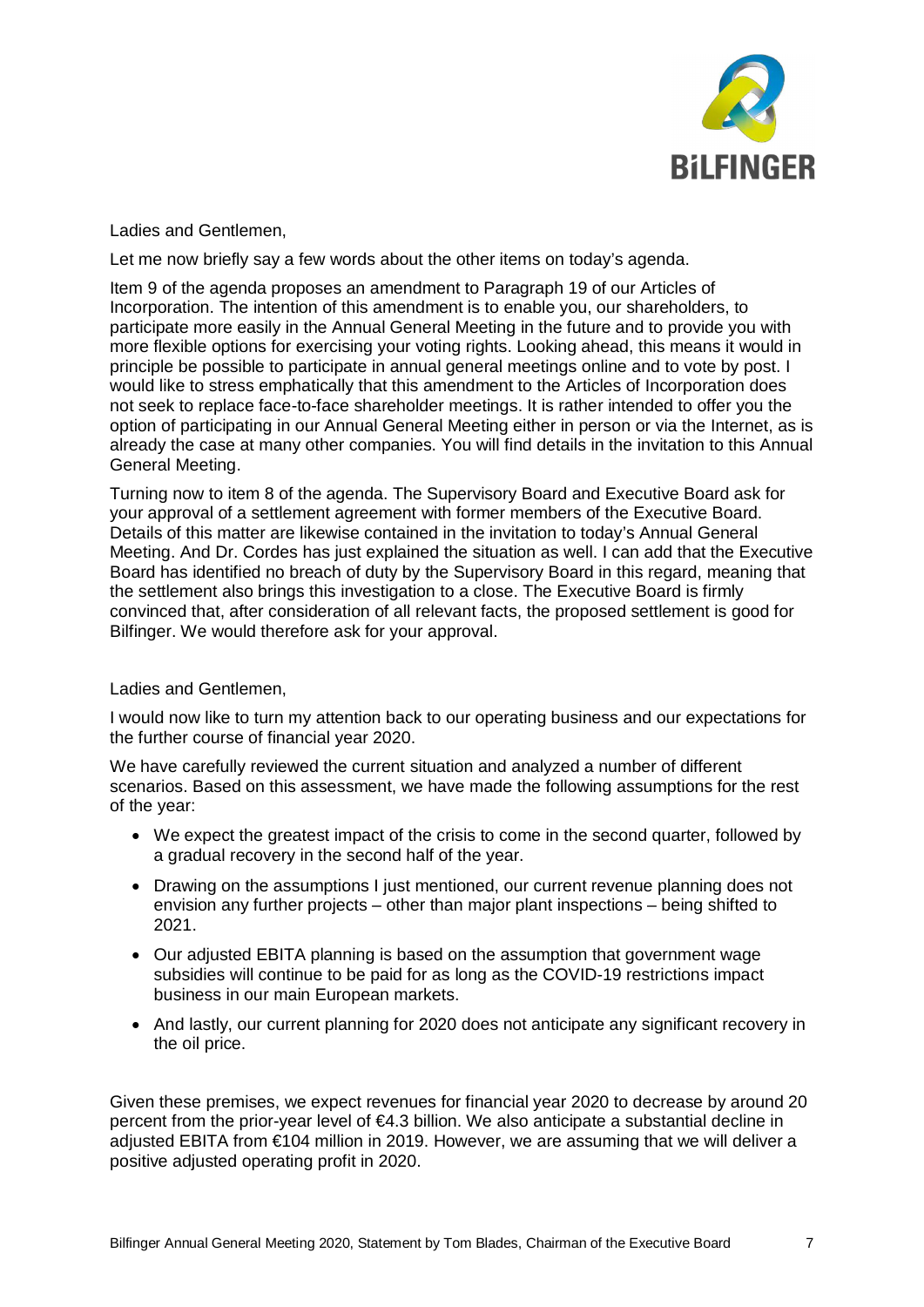

Ladies and Gentlemen,

Let me now briefly say a few words about the other items on today's agenda.

Item 9 of the agenda proposes an amendment to Paragraph 19 of our Articles of Incorporation. The intention of this amendment is to enable you, our shareholders, to participate more easily in the Annual General Meeting in the future and to provide you with more flexible options for exercising your voting rights. Looking ahead, this means it would in principle be possible to participate in annual general meetings online and to vote by post. I would like to stress emphatically that this amendment to the Articles of Incorporation does not seek to replace face-to-face shareholder meetings. It is rather intended to offer you the option of participating in our Annual General Meeting either in person or via the Internet, as is already the case at many other companies. You will find details in the invitation to this Annual General Meeting.

Turning now to item 8 of the agenda. The Supervisory Board and Executive Board ask for your approval of a settlement agreement with former members of the Executive Board. Details of this matter are likewise contained in the invitation to today's Annual General Meeting. And Dr. Cordes has just explained the situation as well. I can add that the Executive Board has identified no breach of duty by the Supervisory Board in this regard, meaning that the settlement also brings this investigation to a close. The Executive Board is firmly convinced that, after consideration of all relevant facts, the proposed settlement is good for Bilfinger. We would therefore ask for your approval.

Ladies and Gentlemen,

I would now like to turn my attention back to our operating business and our expectations for the further course of financial year 2020.

We have carefully reviewed the current situation and analyzed a number of different scenarios. Based on this assessment, we have made the following assumptions for the rest of the year:

- · We expect the greatest impact of the crisis to come in the second quarter, followed by a gradual recovery in the second half of the year.
- · Drawing on the assumptions I just mentioned, our current revenue planning does not envision any further projects – other than major plant inspections – being shifted to 2021.
- · Our adjusted EBITA planning is based on the assumption that government wage subsidies will continue to be paid for as long as the COVID-19 restrictions impact business in our main European markets.
- · And lastly, our current planning for 2020 does not anticipate any significant recovery in the oil price.

Given these premises, we expect revenues for financial year 2020 to decrease by around 20 percent from the prior-year level of €4.3 billion. We also anticipate a substantial decline in adjusted EBITA from €104 million in 2019. However, we are assuming that we will deliver a positive adjusted operating profit in 2020.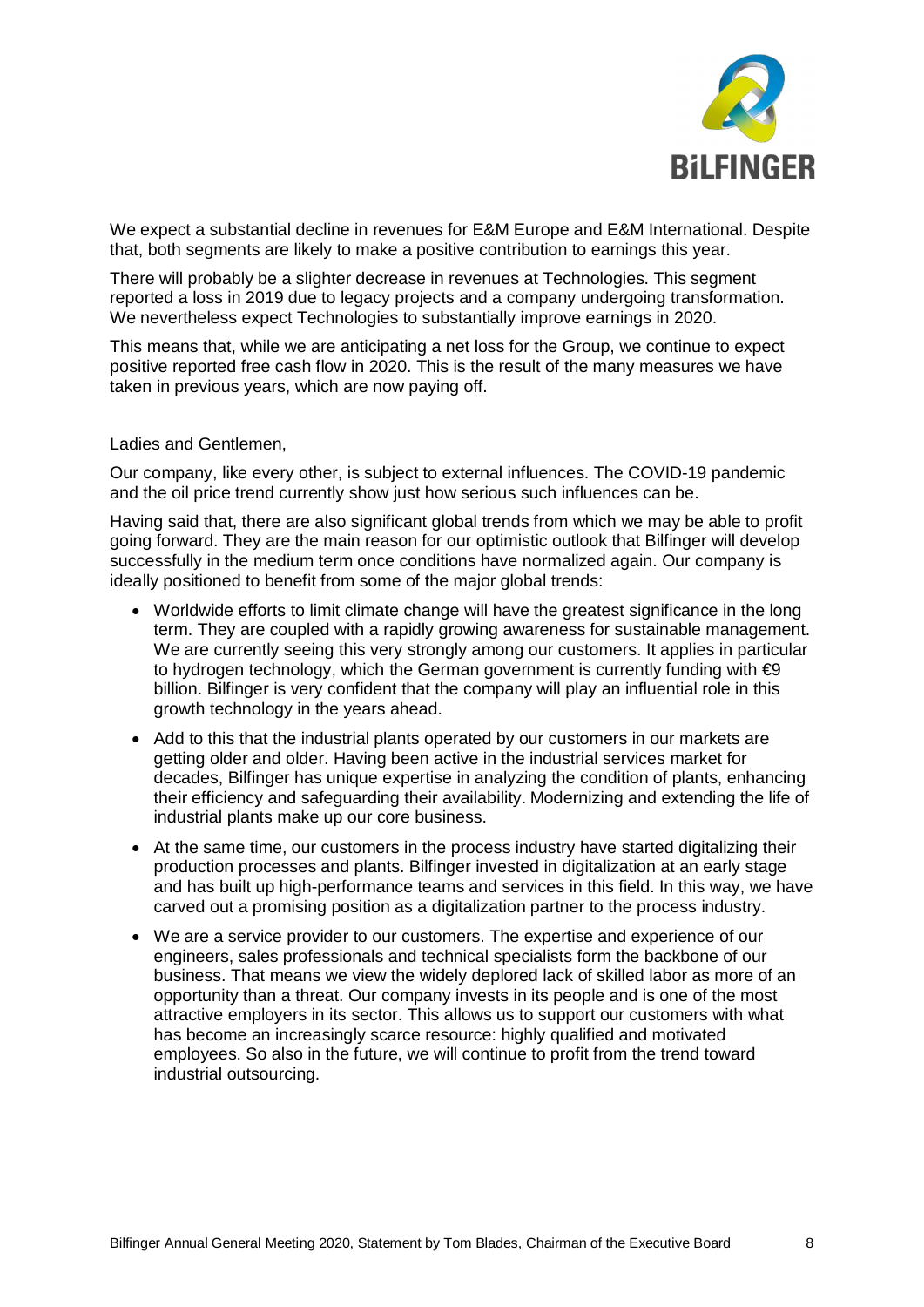

We expect a substantial decline in revenues for E&M Europe and E&M International. Despite that, both segments are likely to make a positive contribution to earnings this year.

There will probably be a slighter decrease in revenues at Technologies. This segment reported a loss in 2019 due to legacy projects and a company undergoing transformation. We nevertheless expect Technologies to substantially improve earnings in 2020.

This means that, while we are anticipating a net loss for the Group, we continue to expect positive reported free cash flow in 2020. This is the result of the many measures we have taken in previous years, which are now paying off.

## Ladies and Gentlemen,

Our company, like every other, is subject to external influences. The COVID-19 pandemic and the oil price trend currently show just how serious such influences can be.

Having said that, there are also significant global trends from which we may be able to profit going forward. They are the main reason for our optimistic outlook that Bilfinger will develop successfully in the medium term once conditions have normalized again. Our company is ideally positioned to benefit from some of the major global trends:

- · Worldwide efforts to limit climate change will have the greatest significance in the long term. They are coupled with a rapidly growing awareness for sustainable management. We are currently seeing this very strongly among our customers. It applies in particular to hydrogen technology, which the German government is currently funding with  $\epsilon$ 9 billion. Bilfinger is very confident that the company will play an influential role in this growth technology in the years ahead.
- Add to this that the industrial plants operated by our customers in our markets are getting older and older. Having been active in the industrial services market for decades, Bilfinger has unique expertise in analyzing the condition of plants, enhancing their efficiency and safeguarding their availability. Modernizing and extending the life of industrial plants make up our core business.
- At the same time, our customers in the process industry have started digitalizing their production processes and plants. Bilfinger invested in digitalization at an early stage and has built up high-performance teams and services in this field. In this way, we have carved out a promising position as a digitalization partner to the process industry.
- · We are a service provider to our customers. The expertise and experience of our engineers, sales professionals and technical specialists form the backbone of our business. That means we view the widely deplored lack of skilled labor as more of an opportunity than a threat. Our company invests in its people and is one of the most attractive employers in its sector. This allows us to support our customers with what has become an increasingly scarce resource: highly qualified and motivated employees. So also in the future, we will continue to profit from the trend toward industrial outsourcing.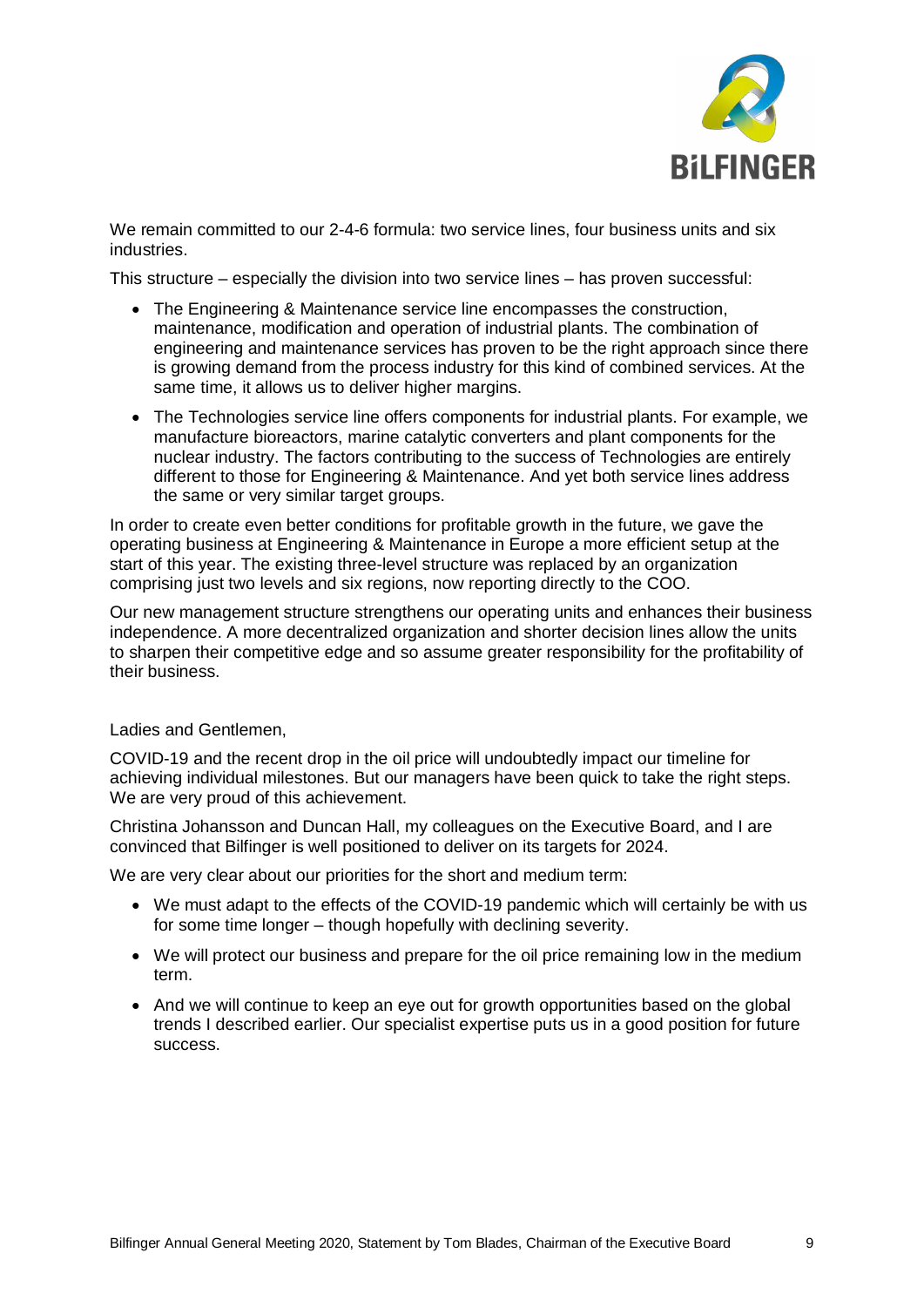

We remain committed to our 2-4-6 formula: two service lines, four business units and six industries.

This structure – especially the division into two service lines – has proven successful:

- · The Engineering & Maintenance service line encompasses the construction, maintenance, modification and operation of industrial plants. The combination of engineering and maintenance services has proven to be the right approach since there is growing demand from the process industry for this kind of combined services. At the same time, it allows us to deliver higher margins.
- · The Technologies service line offers components for industrial plants. For example, we manufacture bioreactors, marine catalytic converters and plant components for the nuclear industry. The factors contributing to the success of Technologies are entirely different to those for Engineering & Maintenance. And yet both service lines address the same or very similar target groups.

In order to create even better conditions for profitable growth in the future, we gave the operating business at Engineering & Maintenance in Europe a more efficient setup at the start of this year. The existing three-level structure was replaced by an organization comprising just two levels and six regions, now reporting directly to the COO.

Our new management structure strengthens our operating units and enhances their business independence. A more decentralized organization and shorter decision lines allow the units to sharpen their competitive edge and so assume greater responsibility for the profitability of their business.

Ladies and Gentlemen,

COVID-19 and the recent drop in the oil price will undoubtedly impact our timeline for achieving individual milestones. But our managers have been quick to take the right steps. We are very proud of this achievement.

Christina Johansson and Duncan Hall, my colleagues on the Executive Board, and I are convinced that Bilfinger is well positioned to deliver on its targets for 2024.

We are very clear about our priorities for the short and medium term:

- We must adapt to the effects of the COVID-19 pandemic which will certainly be with us for some time longer – though hopefully with declining severity.
- · We will protect our business and prepare for the oil price remaining low in the medium term.
- And we will continue to keep an eye out for growth opportunities based on the global trends I described earlier. Our specialist expertise puts us in a good position for future success.